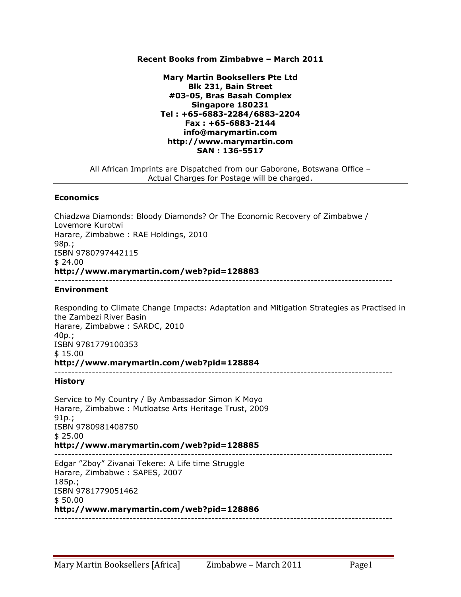### **Recent Books from Zimbabwe – March 2011**

## **Mary Martin Booksellers Pte Ltd Blk 231, Bain Street #03-05, Bras Basah Complex Singapore 180231 Tel : +65-6883-2284/6883-2204 Fax : +65-6883-2144 info@marymartin.com http://www.marymartin.com SAN : 136-5517**

All African Imprints are Dispatched from our Gaborone, Botswana Office – Actual Charges for Postage will be charged.

#### **Economics**

Chiadzwa Diamonds: Bloody Diamonds? Or The Economic Recovery of Zimbabwe / Lovemore Kurotwi Harare, Zimbabwe : RAE Holdings, 2010 98p.; ISBN 9780797442115 \$ 24.00 **http://www.marymartin.com/web?pid=128883** ---------------------------------------------------------------------------------------------------

#### **Environment**

Responding to Climate Change Impacts: Adaptation and Mitigation Strategies as Practised in the Zambezi River Basin Harare, Zimbabwe : SARDC, 2010 40p.; ISBN 9781779100353 \$ 15.00 **http://www.marymartin.com/web?pid=128884** ---------------------------------------------------------------------------------------------------

#### **History**

Service to My Country / By Ambassador Simon K Moyo Harare, Zimbabwe : Mutloatse Arts Heritage Trust, 2009 91p.; ISBN 9780981408750 \$ 25.00 **http://www.marymartin.com/web?pid=128885** --------------------------------------------------------------------------------------------------- Edgar "Zboy" Zivanai Tekere: A Life time Struggle Harare, Zimbabwe : SAPES, 2007 185p.; ISBN 9781779051462 \$ 50.00 **http://www.marymartin.com/web?pid=128886** ---------------------------------------------------------------------------------------------------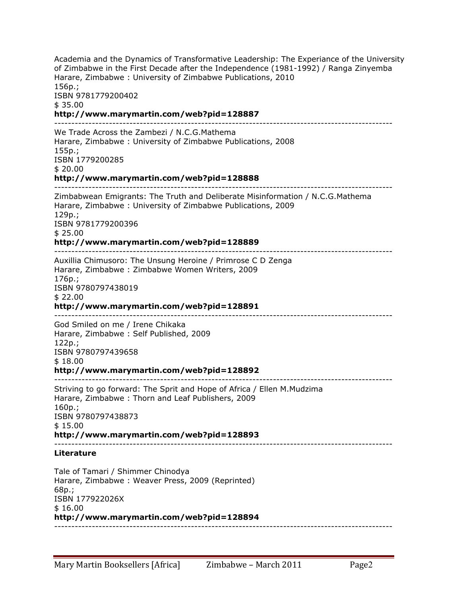Academia and the Dynamics of Transformative Leadership: The Experiance of the University of Zimbabwe in the First Decade after the Independence (1981-1992) / Ranga Zinyemba Harare, Zimbabwe : University of Zimbabwe Publications, 2010 156p.; ISBN 9781779200402 \$ 35.00 **http://www.marymartin.com/web?pid=128887** --------------------------------------------------------------------------------------------------- We Trade Across the Zambezi / N.C.G.Mathema Harare, Zimbabwe : University of Zimbabwe Publications, 2008 155p.; ISBN 1779200285 \$ 20.00 **http://www.marymartin.com/web?pid=128888** --------------------------------------------------------------------------------------------------- Zimbabwean Emigrants: The Truth and Deliberate Misinformation / N.C.G.Mathema Harare, Zimbabwe : University of Zimbabwe Publications, 2009 129p.; ISBN 9781779200396 \$ 25.00 **http://www.marymartin.com/web?pid=128889** --------------------------------------------------------------------------------------------------- Auxillia Chimusoro: The Unsung Heroine / Primrose C D Zenga Harare, Zimbabwe : Zimbabwe Women Writers, 2009 176p.; ISBN 9780797438019 \$ 22.00 **http://www.marymartin.com/web?pid=128891** --------------------------------------------------------------------------------------------------- God Smiled on me / Irene Chikaka Harare, Zimbabwe : Self Published, 2009 122p.; ISBN 9780797439658 \$ 18.00 **http://www.marymartin.com/web?pid=128892** --------------------------------------------------------------------------------------------------- Striving to go forward: The Sprit and Hope of Africa / Ellen M.Mudzima Harare, Zimbabwe : Thorn and Leaf Publishers, 2009 160p.; ISBN 9780797438873 \$ 15.00 **http://www.marymartin.com/web?pid=128893** --------------------------------------------------------------------------------------------------- **Literature** Tale of Tamari / Shimmer Chinodya Harare, Zimbabwe : Weaver Press, 2009 (Reprinted) 68p.; ISBN 177922026X \$ 16.00 **http://www.marymartin.com/web?pid=128894** ---------------------------------------------------------------------------------------------------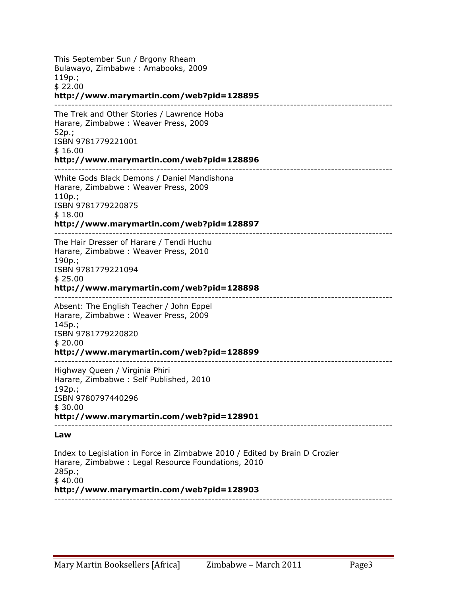This September Sun / Brgony Rheam Bulawayo, Zimbabwe : Amabooks, 2009 119p.; \$ 22.00 **http://www.marymartin.com/web?pid=128895** --------------------------------------------------------------------------------------------------- The Trek and Other Stories / Lawrence Hoba Harare, Zimbabwe : Weaver Press, 2009 52p.; ISBN 9781779221001 \$ 16.00 **http://www.marymartin.com/web?pid=128896** --------------------------------------------------------------------------------------------------- White Gods Black Demons / Daniel Mandishona Harare, Zimbabwe : Weaver Press, 2009 110p.; ISBN 9781779220875 \$ 18.00 **http://www.marymartin.com/web?pid=128897** --------------------------------------------------------------------------------------------------- The Hair Dresser of Harare / Tendi Huchu Harare, Zimbabwe : Weaver Press, 2010 190p.; ISBN 9781779221094 \$ 25.00 **http://www.marymartin.com/web?pid=128898** --------------------------------------------------------------------------------------------------- Absent: The English Teacher / John Eppel Harare, Zimbabwe : Weaver Press, 2009 145p.; ISBN 9781779220820 \$ 20.00 **http://www.marymartin.com/web?pid=128899** --------------------------------------------------------------------------------------------------- Highway Queen / Virginia Phiri Harare, Zimbabwe : Self Published, 2010 192p.; ISBN 9780797440296 \$ 30.00 **http://www.marymartin.com/web?pid=128901** --------------------------------------------------------------------------------------------------- **Law** Index to Legislation in Force in Zimbabwe 2010 / Edited by Brain D Crozier Harare, Zimbabwe : Legal Resource Foundations, 2010 285p.; \$ 40.00 **http://www.marymartin.com/web?pid=128903** ---------------------------------------------------------------------------------------------------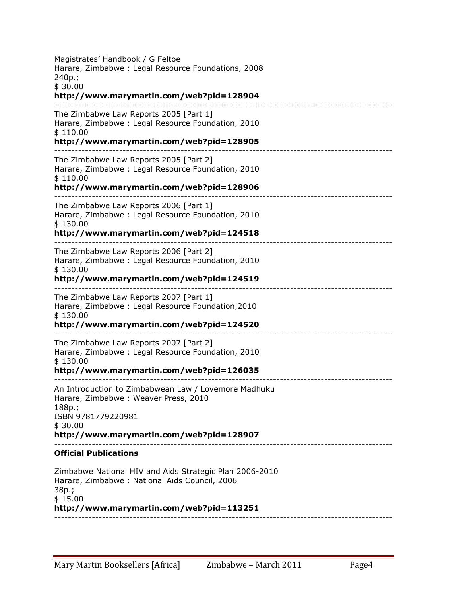Magistrates' Handbook / G Feltoe Harare, Zimbabwe : Legal Resource Foundations, 2008 240p.; \$ 30.00 **http://www.marymartin.com/web?pid=128904** --------------------------------------------------------------------------------------------------- The Zimbabwe Law Reports 2005 [Part 1] Harare, Zimbabwe : Legal Resource Foundation, 2010 \$ 110.00 **http://www.marymartin.com/web?pid=128905** --------------------------------------------------------------------------------------------------- The Zimbabwe Law Reports 2005 [Part 2] Harare, Zimbabwe : Legal Resource Foundation, 2010 \$ 110.00 **http://www.marymartin.com/web?pid=128906** --------------------------------------------------------------------------------------------------- The Zimbabwe Law Reports 2006 [Part 1] Harare, Zimbabwe : Legal Resource Foundation, 2010 \$ 130.00 **http://www.marymartin.com/web?pid=124518** --------------------------------------------------------------------------------------------------- The Zimbabwe Law Reports 2006 [Part 2] Harare, Zimbabwe : Legal Resource Foundation, 2010 \$ 130.00 **http://www.marymartin.com/web?pid=124519** --------------------------------------------------------------------------------------------------- The Zimbabwe Law Reports 2007 [Part 1] Harare, Zimbabwe : Legal Resource Foundation,2010 \$ 130.00 **http://www.marymartin.com/web?pid=124520** --------------------------------------------------------------------------------------------------- The Zimbabwe Law Reports 2007 [Part 2] Harare, Zimbabwe : Legal Resource Foundation, 2010 \$ 130.00 **http://www.marymartin.com/web?pid=126035** --------------------------------------------------------------------------------------------------- An Introduction to Zimbabwean Law / Lovemore Madhuku Harare, Zimbabwe : Weaver Press, 2010 188p.; ISBN 9781779220981 \$ 30.00 **http://www.marymartin.com/web?pid=128907** --------------------------------------------------------------------------------------------------- **Official Publications** Zimbabwe National HIV and Aids Strategic Plan 2006-2010 Harare, Zimbabwe : National Aids Council, 2006 38p.; \$ 15.00 **http://www.marymartin.com/web?pid=113251** ---------------------------------------------------------------------------------------------------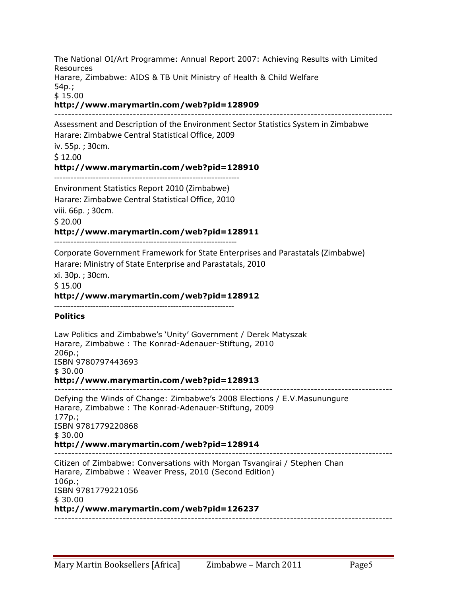The National OI/Art Programme: Annual Report 2007: Achieving Results with Limited Resources Harare, Zimbabwe: AIDS & TB Unit Ministry of Health & Child Welfare 54p.; \$ 15.00 **http://www.marymartin.com/web?pid=128909** --------------------------------------------------------------------------------------------------- Assessment and Description of the Environment Sector Statistics System in Zimbabwe Harare: Zimbabwe Central Statistical Office, 2009 iv. 55p.; 30cm. \$12.00 **http://www.marymartin.com/web?pid=128910** HHHHHHHHHHHHHHHHHHHHHHHHHHHHHHHHHHHHHHHHHHHHHHHHHHHHHHHHHHHHHHHHHHH Environment Statistics Report 2010 (Zimbabwe) Harare: Zimbabwe Central Statistical Office, 2010 viii. 66p.; 30cm. \$'20.00 **http://www.marymartin.com/web?pid=128911** HHHHHHHHHHHHHHHHHHHHHHHHHHHHHHHHHHHHHHHHHHHHHHHHHHHHHHHHHHHHHHHHHH Corporate Government Framework for State Enterprises and Parastatals (Zimbabwe) Harare: Ministry of State Enterprise and Parastatals, 2010 xi. 30p. : 30cm. \$15.00 **http://www.marymartin.com/web?pid=128912** HHHHHHHHHHHHHHHHHHHHHHHHHHHHHHHHHHHHHHHHHHHHHHHHHHHHHHHHHHHHHHHHH **Politics** Law Politics and Zimbabwe's 'Unity' Government / Derek Matyszak Harare, Zimbabwe : The Konrad-Adenauer-Stiftung, 2010 206p.; ISBN 9780797443693 \$ 30.00 **http://www.marymartin.com/web?pid=128913** --------------------------------------------------------------------------------------------------- Defying the Winds of Change: Zimbabwe's 2008 Elections / E.V.Masunungure Harare, Zimbabwe : The Konrad-Adenauer-Stiftung, 2009 177p.; ISBN 9781779220868 \$ 30.00 **http://www.marymartin.com/web?pid=128914** --------------------------------------------------------------------------------------------------- Citizen of Zimbabwe: Conversations with Morgan Tsvangirai / Stephen Chan Harare, Zimbabwe : Weaver Press, 2010 (Second Edition) 106p.; ISBN 9781779221056  $$30.00$ **http://www.marymartin.com/web?pid=126237** ---------------------------------------------------------------------------------------------------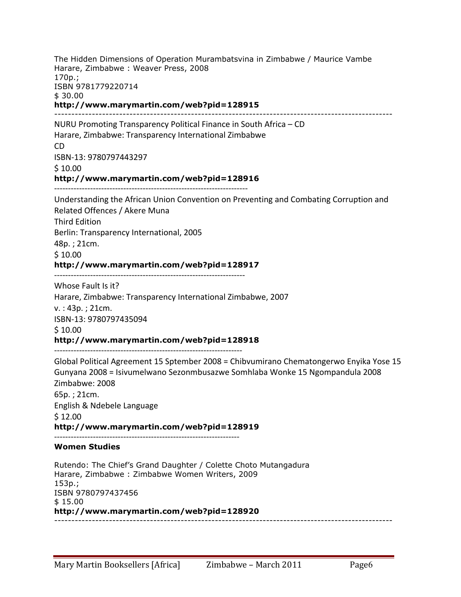The Hidden Dimensions of Operation Murambatsvina in Zimbabwe / Maurice Vambe Harare, Zimbabwe : Weaver Press, 2008 170p.; ISBN 9781779220714 \$ 30.00 **http://www.marymartin.com/web?pid=128915** --------------------------------------------------------------------------------------------------- NURU Promoting Transparency Political Finance in South Africa - CD Harare, Zimbabwe: Transparency International Zimbabwe CD ISBN-13: 9780797443297  $$10.00$ **http://www.marymartin.com/web?pid=128916** HHHHHHHHHHHHHHHHHHHHHHHHHHHHHHHHHHHHHHHHHHHHHHHHHHHHHHHHHHHHHHHHHHHHHH Understanding'the'African'Union'Convention'on'Preventing'and'Combating'Corruption'and' Related Offences / Akere Muna Third'Edition Berlin: Transparency International, 2005 48p.; 21cm.  $$10.00$ **http://www.marymartin.com/web?pid=128917** HHHHHHHHHHHHHHHHHHHHHHHHHHHHHHHHHHHHHHHHHHHHHHHHHHHHHHHHHHHHHHHHHHHHH Whose Fault Is it? Harare, Zimbabwe: Transparency International Zimbabwe, 2007  $v.$ : 43p.; 21cm. ISBN-13: 9780797435094  $$10.00$ **http://www.marymartin.com/web?pid=128918** HHHHHHHHHHHHHHHHHHHHHHHHHHHHHHHHHHHHHHHHHHHHHHHHHHHHHHHHHHHHHHHHHHHH Global Political Agreement 15 Sptember 2008 = Chibvumirano Chematongerwo Enyika Yose 15 Gunyana 2008 = Isivumelwano Sezonmbusazwe Somhlaba Wonke 15 Ngompandula 2008 Zimbabwe: 2008  $65p.$ ; 21cm. English & Ndebele Language  $$12.00$ **http://www.marymartin.com/web?pid=128919** HHHHHHHHHHHHHHHHHHHHHHHHHHHHHHHHHHHHHHHHHHHHHHHHHHHHHHHHHHHHHHHHHHH **Women Studies** Rutendo: The Chief's Grand Daughter / Colette Choto Mutangadura Harare, Zimbabwe : Zimbabwe Women Writers, 2009 153p.; ISBN 9780797437456 \$ 15.00 **http://www.marymartin.com/web?pid=128920** ---------------------------------------------------------------------------------------------------